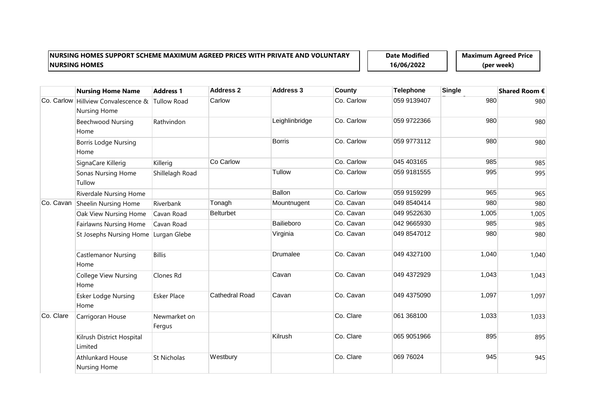**Date Modified 16/06/2022**

|            | <b>Nursing Home Name</b>                 | <b>Address 1</b>       | <b>Address 2</b>      | <b>Address 3</b> | <b>County</b> | <b>Telephone</b> | <b>Single</b> | Shared Room € |
|------------|------------------------------------------|------------------------|-----------------------|------------------|---------------|------------------|---------------|---------------|
| Co. Carlow | Hillview Convalescence &<br>Nursing Home | <b>Tullow Road</b>     | Carlow                |                  | Co. Carlow    | 059 9139407      | 980           | 980           |
|            | <b>Beechwood Nursing</b><br>Home         | Rathvindon             |                       | Leighlinbridge   | Co. Carlow    | 059 9722366      | 980           | 980           |
|            | <b>Borris Lodge Nursing</b><br>Home      |                        |                       | <b>Borris</b>    | Co. Carlow    | 059 9773112      | 980           | 980           |
|            | SignaCare Killerig                       | Killerig               | Co Carlow             |                  | Co. Carlow    | 045 403165       | 985           | 985           |
|            | Sonas Nursing Home<br>Tullow             | Shillelagh Road        |                       | Tullow           | Co. Carlow    | 059 9181555      | 995           | 995           |
|            | <b>Riverdale Nursing Home</b>            |                        |                       | <b>Ballon</b>    | Co. Carlow    | 059 9159299      | 965           | 965           |
| Co. Cavan  | Sheelin Nursing Home                     | Riverbank              | Tonagh                | Mountnugent      | Co. Cavan     | 049 8540414      | 980           | 980           |
|            | Oak View Nursing Home                    | Cavan Road             | <b>Belturbet</b>      |                  | Co. Cavan     | 049 9522630      | 1,005         | 1,005         |
|            | <b>Fairlawns Nursing Home</b>            | Cavan Road             |                       | Bailieboro       | Co. Cavan     | 042 9665930      | 985           | 985           |
|            | St Josephs Nursing Home Lurgan Glebe     |                        |                       | Virginia         | Co. Cavan     | 049 8547012      | 980           | 980           |
|            | <b>Castlemanor Nursing</b><br>Home       | <b>Billis</b>          |                       | Drumalee         | Co. Cavan     | 049 4327100      | 1,040         | 1,040         |
|            | College View Nursing<br>Home             | Clones Rd              |                       | Cavan            | Co. Cavan     | 049 4372929      | 1,043         | 1,043         |
|            | <b>Esker Lodge Nursing</b><br>Home       | <b>Esker Place</b>     | <b>Cathedral Road</b> | Cavan            | Co. Cavan     | 049 4375090      | 1,097         | 1,097         |
| Co. Clare  | Carrigoran House                         | Newmarket on<br>Fergus |                       |                  | Co. Clare     | 061 368100       | 1,033         | 1,033         |
|            | Kilrush District Hospital<br>Limited     |                        |                       | Kilrush          | Co. Clare     | 065 9051966      | 895           | 895           |
|            | <b>Athlunkard House</b><br>Nursing Home  | St Nicholas            | Westbury              |                  | Co. Clare     | 069 76024        | 945           | 945           |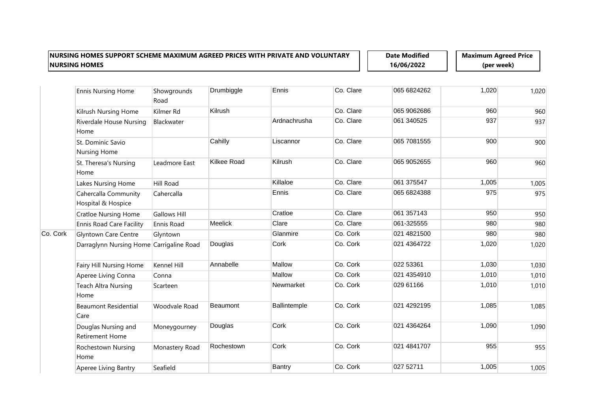**Date Modified 16/06/2022**

|          | <b>Ennis Nursing Home</b>                     | Showgrounds<br>Road | Drumbiggle         | Ennis         | Co. Clare | 065 6824262 | 1,020 | 1,020 |
|----------|-----------------------------------------------|---------------------|--------------------|---------------|-----------|-------------|-------|-------|
|          | Kilrush Nursing Home                          | Kilmer Rd           | Kilrush            |               | Co. Clare | 065 9062686 | 960   | 960   |
|          | Riverdale House Nursing<br>Home               | Blackwater          |                    | Ardnachrusha  | Co. Clare | 061 340525  | 937   | 937   |
|          | St. Dominic Savio<br>Nursing Home             |                     | Cahilly            | Liscannor     | Co. Clare | 065 7081555 | 900   | 900   |
|          | St. Theresa's Nursing<br>Home                 | Leadmore East       | <b>Kilkee Road</b> | Kilrush       | Co. Clare | 065 9052655 | 960   | 960   |
|          | Lakes Nursing Home                            | Hill Road           |                    | Killaloe      | Co. Clare | 061 375547  | 1,005 | 1,005 |
|          | Cahercalla Community<br>Hospital & Hospice    | Cahercalla          |                    | Ennis         | Co. Clare | 065 6824388 | 975   | 975   |
|          | <b>Cratloe Nursing Home</b>                   | <b>Gallows Hill</b> |                    | Cratloe       | Co. Clare | 061 357143  | 950   | 950   |
|          | <b>Ennis Road Care Facility</b>               | Ennis Road          | <b>Meelick</b>     | Clare         | Co. Clare | 061-325555  | 980   | 980   |
| Co. Cork | <b>Glyntown Care Centre</b>                   | Glyntown            |                    | Glanmire      | Co. Cork  | 021 4821500 | 980   | 980   |
|          | Darraglynn Nursing Home Carrigaline Road      |                     | Douglas            | Cork          | Co. Cork  | 021 4364722 | 1,020 | 1,020 |
|          | Fairy Hill Nursing Home                       | Kennel Hill         | Annabelle          | Mallow        | Co. Cork  | 022 53361   | 1,030 | 1,030 |
|          | Aperee Living Conna                           | Conna               |                    | Mallow        | Co. Cork  | 021 4354910 | 1,010 | 1,010 |
|          | <b>Teach Altra Nursing</b><br>Home            | Scarteen            |                    | Newmarket     | Co. Cork  | 029 61166   | 1,010 | 1,010 |
|          | <b>Beaumont Residential</b><br>Care           | Woodvale Road       | Beaumont           | Ballintemple  | Co. Cork  | 021 4292195 | 1,085 | 1,085 |
|          | Douglas Nursing and<br><b>Retirement Home</b> | Moneygourney        | Douglas            | Cork          | Co. Cork  | 021 4364264 | 1,090 | 1,090 |
|          | Rochestown Nursing<br>Home                    | Monastery Road      | Rochestown         | Cork          | Co. Cork  | 021 4841707 | 955   | 955   |
|          | Aperee Living Bantry                          | Seafield            |                    | <b>Bantry</b> | Co. Cork  | 027 52711   | 1,005 | 1,005 |
|          |                                               |                     |                    |               |           |             |       |       |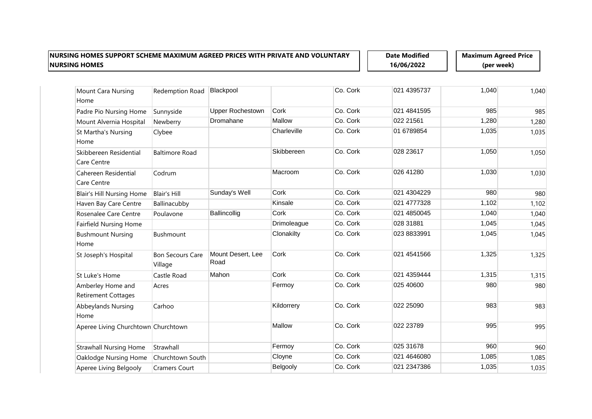**Date Modified 16/06/2022**

| Mount Cara Nursing                              | Redemption Road                    | Blackpool                 |             | Co. Cork | 021 4395737 | 1,040 | 1,040 |
|-------------------------------------------------|------------------------------------|---------------------------|-------------|----------|-------------|-------|-------|
| Home                                            |                                    |                           |             |          |             |       |       |
| Padre Pio Nursing Home                          | Sunnyside                          | <b>Upper Rochestown</b>   | Cork        | Co. Cork | 021 4841595 | 985   | 985   |
| Mount Alvernia Hospital                         | Newberry                           | Dromahane                 | Mallow      | Co. Cork | 022 21561   | 1,280 | 1,280 |
| St Martha's Nursing<br>Home                     | Clybee                             |                           | Charleville | Co. Cork | 01 6789854  | 1,035 | 1,035 |
| Skibbereen Residential<br>Care Centre           | <b>Baltimore Road</b>              |                           | Skibbereen  | Co. Cork | 028 23617   | 1,050 | 1,050 |
| Cahereen Residential<br>Care Centre             | Codrum                             |                           | Macroom     | Co. Cork | 026 41280   | 1,030 | 1,030 |
| <b>Blair's Hill Nursing Home</b>                | <b>Blair's Hill</b>                | Sunday's Well             | Cork        | Co. Cork | 021 4304229 | 980   | 980   |
| Haven Bay Care Centre                           | Ballinacubby                       |                           | Kinsale     | Co. Cork | 021 4777328 | 1,102 | 1,102 |
| Rosenalee Care Centre                           | Poulavone                          | Ballincollig              | Cork        | Co. Cork | 021 4850045 | 1,040 | 1,040 |
| <b>Fairfield Nursing Home</b>                   |                                    |                           | Drimoleague | Co. Cork | 028 31881   | 1,045 | 1,045 |
| <b>Bushmount Nursing</b><br>Home                | Bushmount                          |                           | Clonakilty  | Co. Cork | 023 8833991 | 1,045 | 1,045 |
| St Joseph's Hospital                            | <b>Bon Secours Care</b><br>Village | Mount Desert, Lee<br>Road | Cork        | Co. Cork | 021 4541566 | 1,325 | 1,325 |
| St Luke's Home                                  | Castle Road                        | Mahon                     | Cork        | Co. Cork | 021 4359444 | 1,315 | 1,315 |
| Amberley Home and<br><b>Retirement Cottages</b> | Acres                              |                           | Fermoy      | Co. Cork | 025 40600   | 980   | 980   |
| Abbeylands Nursing<br>Home                      | Carhoo                             |                           | Kildorrery  | Co. Cork | 022 25090   | 983   | 983   |
| Aperee Living Churchtown Churchtown             |                                    |                           | Mallow      | Co. Cork | 022 23789   | 995   | 995   |
| <b>Strawhall Nursing Home</b>                   | Strawhall                          |                           | Fermoy      | Co. Cork | 025 31678   | 960   | 960   |
| Oaklodge Nursing Home                           | Churchtown South                   |                           | Cloyne      | Co. Cork | 021 4646080 | 1,085 | 1,085 |
| Aperee Living Belgooly                          | <b>Cramers Court</b>               |                           | Belgooly    | Co. Cork | 021 2347386 | 1,035 | 1,035 |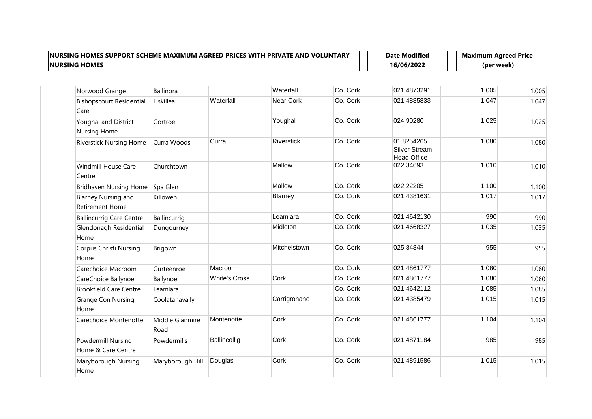**Date Modified 16/06/2022**

| Norwood Grange                                       | Ballinora               |                      | Waterfall         | Co. Cork | 021 4873291                                       | 1,005 | 1,005 |
|------------------------------------------------------|-------------------------|----------------------|-------------------|----------|---------------------------------------------------|-------|-------|
| <b>Bishopscourt Residential</b><br>Care              | Liskillea               | Waterfall            | Near Cork         | Co. Cork | 021 4885833                                       | 1,047 | 1,047 |
| Youghal and District<br><b>Nursing Home</b>          | Gortroe                 |                      | Youghal           | Co. Cork | 024 90280                                         | 1,025 | 1,025 |
| <b>Riverstick Nursing Home</b>                       | Curra Woods             | Curra                | <b>Riverstick</b> | Co. Cork | 01 8254265<br>Silver Stream<br><b>Head Office</b> | 1,080 | 1,080 |
| <b>Windmill House Care</b><br>Centre                 | Churchtown              |                      | Mallow            | Co. Cork | 022 34693                                         | 1,010 | 1,010 |
| <b>Bridhaven Nursing Home</b>                        | Spa Glen                |                      | Mallow            | Co. Cork | 022 22205                                         | 1,100 | 1,100 |
| <b>Blarney Nursing and</b><br><b>Retirement Home</b> | Killowen                |                      | Blarney           | Co. Cork | 021 4381631                                       | 1,017 | 1,017 |
| <b>Ballincurrig Care Centre</b>                      | Ballincurrig            |                      | Leamlara          | Co. Cork | 021 4642130                                       | 990   | 990   |
| Glendonagh Residential<br>Home                       | Dungourney              |                      | Midleton          | Co. Cork | 021 4668327                                       | 1,035 | 1,035 |
| <b>Corpus Christi Nursing</b><br>Home                | Brigown                 |                      | Mitchelstown      | Co. Cork | 025 84844                                         | 955   | 955   |
| Carechoice Macroom                                   | Gurteenroe              | Macroom              |                   | Co. Cork | 021 4861777                                       | 1,080 | 1,080 |
| CareChoice Ballynoe                                  | Ballynoe                | <b>White's Cross</b> | Cork              | Co. Cork | 021 4861777                                       | 1,080 | 1,080 |
| <b>Brookfield Care Centre</b>                        | Leamlara                |                      |                   | Co. Cork | 021 4642112                                       | 1,085 | 1,085 |
| <b>Grange Con Nursing</b><br>Home                    | Coolatanavally          |                      | Carrigrohane      | Co. Cork | 021 4385479                                       | 1,015 | 1,015 |
| Carechoice Montenotte                                | Middle Glanmire<br>Road | Montenotte           | Cork              | Co. Cork | 021 4861777                                       | 1,104 | 1,104 |
| Powdermill Nursing<br>Home & Care Centre             | Powdermills             | Ballincollig         | Cork              | Co. Cork | 021 4871184                                       | 985   | 985   |
| Maryborough Nursing<br>Home                          | Maryborough Hill        | Douglas              | Cork              | Co. Cork | 021 4891586                                       | 1,015 | 1,015 |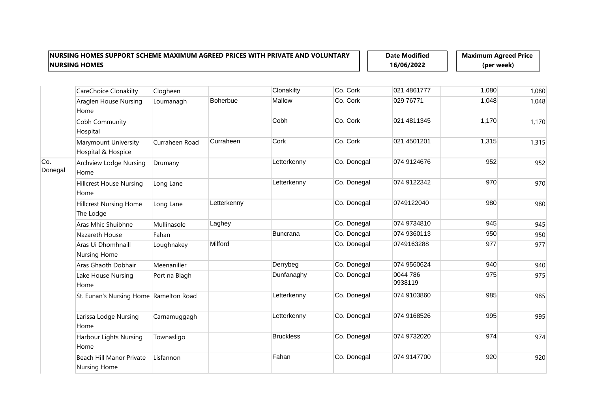**Date Modified 16/06/2022**

|                | CareChoice Clonakilty                           | Clogheen       |                 | Clonakilty       | Co. Cork    | 021 4861777         | 1,080 | 1,080 |
|----------------|-------------------------------------------------|----------------|-----------------|------------------|-------------|---------------------|-------|-------|
|                | Araglen House Nursing<br>Home                   | Loumanagh      | <b>Boherbue</b> | Mallow           | Co. Cork    | 029 76771           | 1,048 | 1,048 |
|                | Cobh Community<br>Hospital                      |                |                 | Cobh             | Co. Cork    | 021 4811345         | 1,170 | 1,170 |
|                | Marymount University<br>Hospital & Hospice      | Curraheen Road | Curraheen       | Cork             | Co. Cork    | 021 4501201         | 1,315 | 1,315 |
| Co.<br>Donegal | Archview Lodge Nursing<br>Home                  | Drumany        |                 | Letterkenny      | Co. Donegal | 074 9124676         | 952   | 952   |
|                | <b>Hillcrest House Nursing</b><br>Home          | Long Lane      |                 | Letterkenny      | Co. Donegal | 074 9122342         | 970   | 970   |
|                | <b>Hillcrest Nursing Home</b><br>The Lodge      | Long Lane      | Letterkenny     |                  | Co. Donegal | 0749122040          | 980   | 980   |
|                | Aras Mhic Shuibhne                              | Mullinasole    | Laghey          |                  | Co. Donegal | 074 9734810         | 945   | 945   |
|                | Nazareth House                                  | Fahan          |                 | <b>Buncrana</b>  | Co. Donegal | 074 9360113         | 950   | 950   |
|                | Aras Ui Dhomhnaill<br><b>Nursing Home</b>       | Loughnakey     | Milford         |                  | Co. Donegal | 0749163288          | 977   | 977   |
|                | Aras Ghaoth Dobhair                             | Meenaniller    |                 | Derrybeg         | Co. Donegal | 074 9560624         | 940   | 940   |
|                | Lake House Nursing<br>Home                      | Port na Blagh  |                 | Dunfanaghy       | Co. Donegal | 0044 786<br>0938119 | 975   | 975   |
|                | St. Eunan's Nursing Home Ramelton Road          |                |                 | Letterkenny      | Co. Donegal | 074 9103860         | 985   | 985   |
|                | Larissa Lodge Nursing<br>Home                   | Carnamuggagh   |                 | Letterkenny      | Co. Donegal | 074 9168526         | 995   | 995   |
|                | Harbour Lights Nursing<br>Home                  | Townasligo     |                 | <b>Bruckless</b> | Co. Donegal | 074 9732020         | 974   | 974   |
|                | Beach Hill Manor Private<br><b>Nursing Home</b> | Lisfannon      |                 | Fahan            | Co. Donegal | 074 9147700         | 920   | 920   |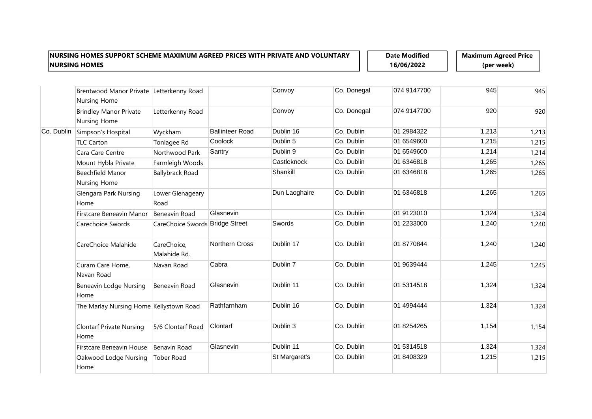**Date Modified 16/06/2022**

|            | Brentwood Manor Private Letterkenny Road<br>Nursing Home |                                 |                        | Convoy        | Co. Donegal | 074 9147700 | 945   | 945   |
|------------|----------------------------------------------------------|---------------------------------|------------------------|---------------|-------------|-------------|-------|-------|
|            | <b>Brindley Manor Private</b><br>Nursing Home            | Letterkenny Road                |                        | Convoy        | Co. Donegal | 074 9147700 | 920   | 920   |
| Co. Dublin | Simpson's Hospital                                       | Wyckham                         | <b>Ballinteer Road</b> | Dublin 16     | Co. Dublin  | 01 2984322  | 1,213 | 1,213 |
|            | <b>TLC Carton</b>                                        | Tonlagee Rd                     | Coolock                | Dublin 5      | Co. Dublin  | 01 6549600  | 1,215 | 1,215 |
|            | Cara Care Centre                                         | Northwood Park                  | Santry                 | Dublin 9      | Co. Dublin  | 01 6549600  | 1,214 | 1,214 |
|            | Mount Hybla Private                                      | Farmleigh Woods                 |                        | Castleknock   | Co. Dublin  | 01 6346818  | 1,265 | 1,265 |
|            | <b>Beechfield Manor</b><br>Nursing Home                  | <b>Ballybrack Road</b>          |                        | Shankill      | Co. Dublin  | 01 6346818  | 1,265 | 1,265 |
|            | Glengara Park Nursing<br>Home                            | Lower Glenageary<br>Road        |                        | Dun Laoghaire | Co. Dublin  | 01 6346818  | 1,265 | 1,265 |
|            | Firstcare Beneavin Manor                                 | Beneavin Road                   | Glasnevin              |               | Co. Dublin  | 01 9123010  | 1,324 | 1,324 |
|            | Carechoice Swords                                        | CareChoice Swords Bridge Street |                        | Swords        | Co. Dublin  | 01 2233000  | 1,240 | 1,240 |
|            | CareChoice Malahide                                      | CareChoice,<br>Malahide Rd.     | <b>Northern Cross</b>  | Dublin 17     | Co. Dublin  | 01 8770844  | 1,240 | 1,240 |
|            | Curam Care Home,<br>Navan Road                           | Navan Road                      | Cabra                  | Dublin 7      | Co. Dublin  | 01 9639444  | 1,245 | 1,245 |
|            | <b>Beneavin Lodge Nursing</b><br>Home                    | Beneavin Road                   | Glasnevin              | Dublin 11     | Co. Dublin  | 01 5314518  | 1,324 | 1,324 |
|            | The Marlay Nursing Home Kellystown Road                  |                                 | Rathfarnham            | Dublin 16     | Co. Dublin  | 01 4994444  | 1,324 | 1,324 |
|            | <b>Clontarf Private Nursing</b><br>Home                  | 5/6 Clontarf Road               | Clontarf               | Dublin 3      | Co. Dublin  | 01 8254265  | 1,154 | 1,154 |
|            | Firstcare Beneavin House                                 | Benavin Road                    | Glasnevin              | Dublin 11     | Co. Dublin  | 01 531 4518 | 1,324 | 1,324 |
|            | Oakwood Lodge Nursing<br>Home                            | <b>Tober Road</b>               |                        | St Margaret's | Co. Dublin  | 01 8408329  | 1,215 | 1,215 |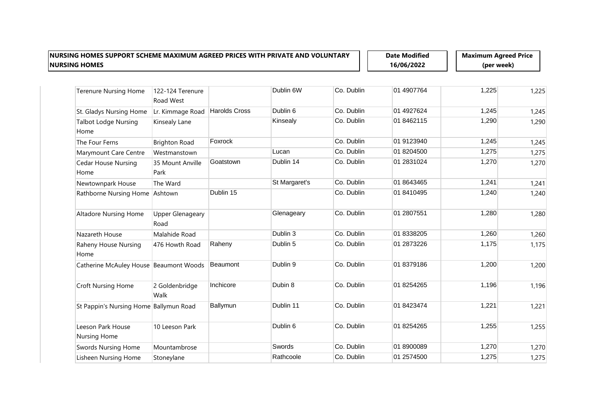**Date Modified 16/06/2022**

| <b>Terenure Nursing Home</b>           | 122-124 Terenure<br>Road West   |                      | Dublin 6W     | Co. Dublin | 01 4907764 | 1,225 | 1,225 |
|----------------------------------------|---------------------------------|----------------------|---------------|------------|------------|-------|-------|
| St. Gladys Nursing Home                | Lr. Kimmage Road                | <b>Harolds Cross</b> | Dublin 6      | Co. Dublin | 01 4927624 | 1,245 | 1,245 |
| <b>Talbot Lodge Nursing</b><br>Home    | Kinsealy Lane                   |                      | Kinsealy      | Co. Dublin | 01 8462115 | 1,290 | 1,290 |
| The Four Ferns                         | <b>Brighton Road</b>            | Foxrock              |               | Co. Dublin | 01 9123940 | 1,245 | 1,245 |
| Marymount Care Centre                  | Westmanstown                    |                      | Lucan         | Co. Dublin | 01 8204500 | 1,275 | 1,275 |
| <b>Cedar House Nursing</b><br>Home     | 35 Mount Anville<br>Park        | Goatstown            | Dublin 14     | Co. Dublin | 01 2831024 | 1,270 | 1,270 |
| Newtownpark House                      | The Ward                        |                      | St Margaret's | Co. Dublin | 01 8643465 | 1,241 | 1,241 |
| Rathborne Nursing Home Ashtown         |                                 | Dublin 15            |               | Co. Dublin | 01 8410495 | 1,240 | 1,240 |
| Altadore Nursing Home                  | <b>Upper Glenageary</b><br>Road |                      | Glenageary    | Co. Dublin | 01 2807551 | 1,280 | 1,280 |
| Nazareth House                         | Malahide Road                   |                      | Dublin 3      | Co. Dublin | 01 8338205 | 1,260 | 1,260 |
| Raheny House Nursing<br>Home           | 476 Howth Road                  | Raheny               | Dublin 5      | Co. Dublin | 01 2873226 | 1,175 | 1,175 |
| Catherine McAuley House Beaumont Woods |                                 | Beaumont             | Dublin 9      | Co. Dublin | 01 8379186 | 1,200 | 1,200 |
| <b>Croft Nursing Home</b>              | 2 Goldenbridge<br>Walk          | Inchicore            | Dubin 8       | Co. Dublin | 01 8254265 | 1,196 | 1,196 |
| St Pappin's Nursing Home Ballymun Road |                                 | Ballymun             | Dublin 11     | Co. Dublin | 01 8423474 | 1,221 | 1,221 |
| Leeson Park House<br>Nursing Home      | 10 Leeson Park                  |                      | Dublin 6      | Co. Dublin | 01 8254265 | 1,255 | 1,255 |
| <b>Swords Nursing Home</b>             | Mountambrose                    |                      | Swords        | Co. Dublin | 01 8900089 | 1,270 | 1,270 |
| Lisheen Nursing Home                   | Stoneylane                      |                      | Rathcoole     | Co. Dublin | 01 2574500 | 1,275 | 1,275 |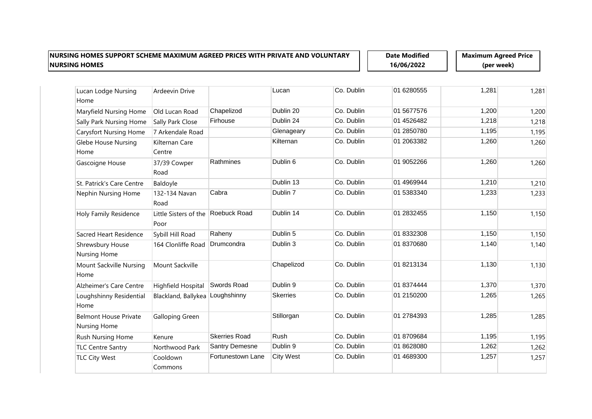**Date Modified 16/06/2022**

| Lucan Lodge Nursing                                 | <b>Ardeevin Drive</b>         |                       | Lucan            | Co. Dublin | 01 6280555 | 1,281 | 1,281 |
|-----------------------------------------------------|-------------------------------|-----------------------|------------------|------------|------------|-------|-------|
| Home                                                |                               |                       |                  |            |            |       |       |
| Maryfield Nursing Home                              | Old Lucan Road                | Chapelizod            | Dublin 20        | Co. Dublin | 01 5677576 | 1,200 | 1,200 |
| Sally Park Nursing Home                             | Sally Park Close              | Firhouse              | Dublin 24        | Co. Dublin | 01 4526482 | 1,218 | 1,218 |
| <b>Carysfort Nursing Home</b>                       | 7 Arkendale Road              |                       | Glenageary       | Co. Dublin | 01 2850780 | 1,195 | 1,195 |
| Glebe House Nursing                                 | Kilternan Care                |                       | Kilternan        | Co. Dublin | 01 2063382 | 1,260 | 1,260 |
| Home                                                | Centre                        |                       |                  |            |            |       |       |
| Gascoigne House                                     | 37/39 Cowper<br>Road          | Rathmines             | Dublin 6         | Co. Dublin | 01 9052266 | 1,260 | 1,260 |
| St. Patrick's Care Centre                           | Baldoyle                      |                       | Dublin 13        | Co. Dublin | 01 4969944 | 1,210 | 1,210 |
| Nephin Nursing Home                                 | 132-134 Navan<br>Road         | Cabra                 | Dublin 7         | Co. Dublin | 01 5383340 | 1,233 | 1,233 |
| Holy Family Residence                               | Little Sisters of the<br>Poor | Roebuck Road          | Dublin 14        | Co. Dublin | 01 2832455 | 1,150 | 1,150 |
| Sacred Heart Residence                              | Sybill Hill Road              | Raheny                | Dublin 5         | Co. Dublin | 01 8332308 | 1,150 | 1,150 |
| Shrewsbury House<br><b>Nursing Home</b>             | 164 Clonliffe Road            | Drumcondra            | Dublin 3         | Co. Dublin | 01 8370680 | 1,140 | 1,140 |
| Mount Sackville Nursing<br>Home                     | Mount Sackville               |                       | Chapelizod       | Co. Dublin | 01 8213134 | 1,130 | 1,130 |
| Alzheimer's Care Centre                             | Highfield Hospital            | Swords Road           | Dublin 9         | Co. Dublin | 01 8374444 | 1,370 | 1,370 |
| Loughshinny Residential<br>Home                     | Blackland, Ballykea           | Loughshinny           | <b>Skerries</b>  | Co. Dublin | 01 2150200 | 1,265 | 1,265 |
| <b>Belmont House Private</b><br><b>Nursing Home</b> | <b>Galloping Green</b>        |                       | Stillorgan       | Co. Dublin | 01 2784393 | 1,285 | 1,285 |
| Rush Nursing Home                                   | Kenure                        | <b>Skerries Road</b>  | Rush             | Co. Dublin | 01 8709684 | 1,195 | 1,195 |
| <b>TLC Centre Santry</b>                            | Northwood Park                | <b>Santry Demesne</b> | Dublin 9         | Co. Dublin | 01 8628080 | 1,262 | 1,262 |
| <b>TLC City West</b>                                | Cooldown<br>Commons           | Fortunestown Lane     | <b>City West</b> | Co. Dublin | 01 4689300 | 1,257 | 1,257 |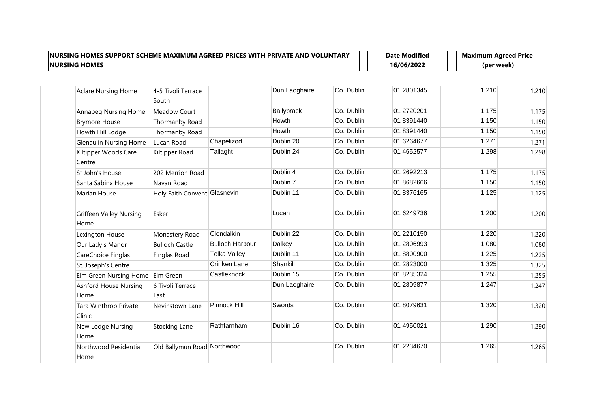**Date Modified 16/06/2022**

| <b>Aclare Nursing Home</b>             | 4-5 Tivoli Terrace<br>South  |                        | Dun Laoghaire     | Co. Dublin | 01 2801345 | 1,210 | 1,210 |
|----------------------------------------|------------------------------|------------------------|-------------------|------------|------------|-------|-------|
| Annabeg Nursing Home                   | Meadow Court                 |                        | <b>Ballybrack</b> | Co. Dublin | 01 2720201 | 1,175 | 1,175 |
| <b>Brymore House</b>                   | Thormanby Road               |                        | Howth             | Co. Dublin | 01 8391440 | 1,150 | 1,150 |
| Howth Hill Lodge                       | Thormanby Road               |                        | Howth             | Co. Dublin | 01 8391440 | 1,150 | 1,150 |
| <b>Glenaulin Nursing Home</b>          | Lucan Road                   | Chapelizod             | Dublin 20         | Co. Dublin | 01 6264677 | 1,271 | 1,271 |
| Kiltipper Woods Care<br>Centre         | Kiltipper Road               | Tallaght               | Dublin 24         | Co. Dublin | 01 4652577 | 1,298 | 1,298 |
| St John's House                        | 202 Merrion Road             |                        | Dublin 4          | Co. Dublin | 01 2692213 | 1,175 | 1,175 |
| Santa Sabina House                     | Navan Road                   |                        | Dublin 7          | Co. Dublin | 01 8682666 | 1,150 | 1,150 |
| Marian House                           | Holy Faith Convent Glasnevin |                        | Dublin 11         | Co. Dublin | 01 8376165 | 1,125 | 1,125 |
| <b>Griffeen Valley Nursing</b><br>Home | Esker                        |                        | Lucan             | Co. Dublin | 01 6249736 | 1,200 | 1,200 |
| Lexington House                        | Monastery Road               | Clondalkin             | Dublin 22         | Co. Dublin | 01 2210150 | 1,220 | 1,220 |
| Our Lady's Manor                       | <b>Bulloch Castle</b>        | <b>Bulloch Harbour</b> | Dalkey            | Co. Dublin | 01 2806993 | 1,080 | 1,080 |
| CareChoice Finglas                     | Finglas Road                 | <b>Tolka Valley</b>    | Dublin 11         | Co. Dublin | 01 8800900 | 1,225 | 1,225 |
| St. Joseph's Centre                    |                              | Crinken Lane           | Shankill          | Co. Dublin | 01 2823000 | 1,325 | 1,325 |
| Elm Green Nursing Home                 | Elm Green                    | Castleknock            | Dublin 15         | Co. Dublin | 01 8235324 | 1,255 | 1,255 |
| <b>Ashford House Nursing</b><br>Home   | 6 Tivoli Terrace<br>East     |                        | Dun Laoghaire     | Co. Dublin | 01 2809877 | 1,247 | 1,247 |
| Tara Winthrop Private<br>Clinic        | Nevinstown Lane              | Pinnock Hill           | Swords            | Co. Dublin | 01 8079631 | 1,320 | 1,320 |
| New Lodge Nursing<br>Home              | Stocking Lane                | Rathfarnham            | Dublin 16         | Co. Dublin | 01 4950021 | 1,290 | 1,290 |
| Northwood Residential<br>Home          | Old Ballymun Road Northwood  |                        |                   | Co. Dublin | 01 2234670 | 1,265 | 1,265 |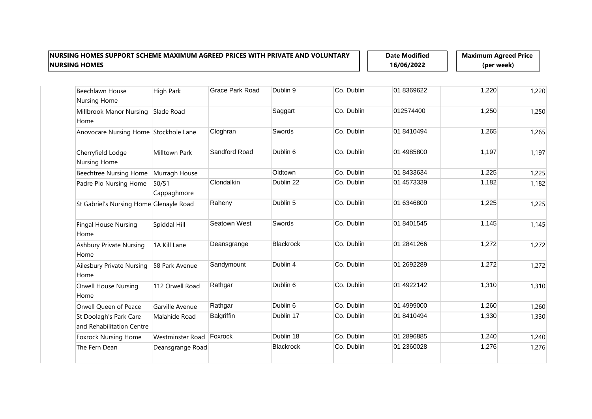**Date Modified 16/06/2022**

| Beechlawn House                                     | High Park            | <b>Grace Park Road</b> | Dublin 9         | Co. Dublin | 01 8369622  | 1,220 | 1,220 |
|-----------------------------------------------------|----------------------|------------------------|------------------|------------|-------------|-------|-------|
| Nursing Home                                        |                      |                        |                  |            |             |       |       |
| Millbrook Manor Nursing<br>Home                     | Slade Road           |                        | Saggart          | Co. Dublin | 012574400   | 1,250 | 1,250 |
| Anovocare Nursing Home Stockhole Lane               |                      | Cloghran               | Swords           | Co. Dublin | 01 8410494  | 1,265 | 1,265 |
| Cherryfield Lodge<br><b>Nursing Home</b>            | Milltown Park        | Sandford Road          | Dublin 6         | Co. Dublin | 01 4985800  | 1,197 | 1,197 |
| <b>Beechtree Nursing Home</b>                       | Murragh House        |                        | Oldtown          | Co. Dublin | 01 8433634  | 1,225 | 1,225 |
| Padre Pio Nursing Home                              | 50/51<br>Cappaghmore | Clondalkin             | Dublin 22        | Co. Dublin | 01 4573339  | 1,182 | 1,182 |
| St Gabriel's Nursing Home Glenayle Road             |                      | Raheny                 | Dublin 5         | Co. Dublin | 01 6346800  | 1,225 | 1,225 |
| <b>Fingal House Nursing</b><br>Home                 | Spiddal Hill         | Seatown West           | Swords           | Co. Dublin | 01 8401545  | 1,145 | 1,145 |
| <b>Ashbury Private Nursing</b><br>Home              | 1A Kill Lane         | Deansgrange            | <b>Blackrock</b> | Co. Dublin | 01 2841 266 | 1,272 | 1,272 |
| Ailesbury Private Nursing<br>Home                   | 58 Park Avenue       | Sandymount             | Dublin 4         | Co. Dublin | 01 2692289  | 1,272 | 1,272 |
| <b>Orwell House Nursing</b><br>Home                 | 112 Orwell Road      | Rathgar                | Dublin 6         | Co. Dublin | 01 4922142  | 1,310 | 1,310 |
| Orwell Queen of Peace                               | Garville Avenue      | Rathgar                | Dublin 6         | Co. Dublin | 01 4999000  | 1,260 | 1,260 |
| St Doolagh's Park Care<br>and Rehabilitation Centre | Malahide Road        | <b>Balgriffin</b>      | Dublin 17        | Co. Dublin | 01 8410494  | 1,330 | 1,330 |
| <b>Foxrock Nursing Home</b>                         | Westminster Road     | Foxrock                | Dublin 18        | Co. Dublin | 01 2896885  | 1,240 | 1,240 |
| The Fern Dean                                       | Deansgrange Road     |                        | <b>Blackrock</b> | Co. Dublin | 01 2360028  | 1,276 | 1,276 |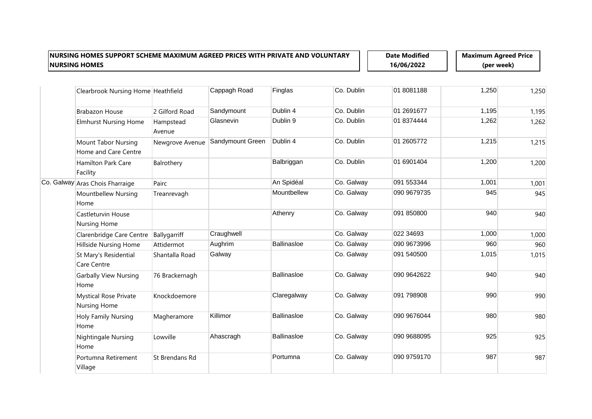**Date Modified 16/06/2022**

| Clearbrook Nursing Home Heathfield                 |                     | Cappagh Road     | Finglas            | Co. Dublin | 01 8081188  | 1,250 | 1,250 |
|----------------------------------------------------|---------------------|------------------|--------------------|------------|-------------|-------|-------|
| <b>Brabazon House</b>                              | 2 Gilford Road      | Sandymount       | Dublin 4           | Co. Dublin | 01 2691677  | 1,195 | 1,195 |
| <b>Elmhurst Nursing Home</b>                       | Hampstead<br>Avenue | Glasnevin        | Dublin 9           | Co. Dublin | 01 8374444  | 1,262 | 1,262 |
| <b>Mount Tabor Nursing</b><br>Home and Care Centre | Newgrove Avenue     | Sandymount Green | Dublin 4           | Co. Dublin | 01 2605772  | 1,215 | 1,215 |
| Hamilton Park Care<br>Facility                     | Balrothery          |                  | Balbriggan         | Co. Dublin | 01 6901404  | 1,200 | 1,200 |
| Co. Galway Aras Chois Fharraige                    | Pairc               |                  | An Spidéal         | Co. Galway | 091 553344  | 1,001 | 1,001 |
| Mountbellew Nursing<br>Home                        | Treanrevagh         |                  | Mountbellew        | Co. Galway | 090 9679735 | 945   | 945   |
| Castleturvin House<br>Nursing Home                 |                     |                  | Athenry            | Co. Galway | 091 850800  | 940   | 940   |
| Clarenbridge Care Centre                           | Ballygarriff        | Craughwell       |                    | Co. Galway | 022 34693   | 1,000 | 1,000 |
| Hillside Nursing Home                              | Attidermot          | Aughrim          | <b>Ballinasloe</b> | Co. Galway | 090 9673996 | 960   | 960   |
| St Mary's Residential<br>Care Centre               | Shantalla Road      | Galway           |                    | Co. Galway | 091 540500  | 1,015 | 1,015 |
| <b>Garbally View Nursing</b><br>Home               | 76 Brackernagh      |                  | <b>Ballinasloe</b> | Co. Galway | 090 9642622 | 940   | 940   |
| <b>Mystical Rose Private</b><br>Nursing Home       | Knockdoemore        |                  | Claregalway        | Co. Galway | 091 798908  | 990   | 990   |
| Holy Family Nursing<br>Home                        | Magheramore         | Killimor         | <b>Ballinasloe</b> | Co. Galway | 090 9676044 | 980   | 980   |
| <b>Nightingale Nursing</b><br>Home                 | Lowville            | Ahascragh        | Ballinasloe        | Co. Galway | 090 9688095 | 925   | 925   |
| Portumna Retirement<br>Village                     | St Brendans Rd      |                  | Portumna           | Co. Galway | 090 9759170 | 987   | 987   |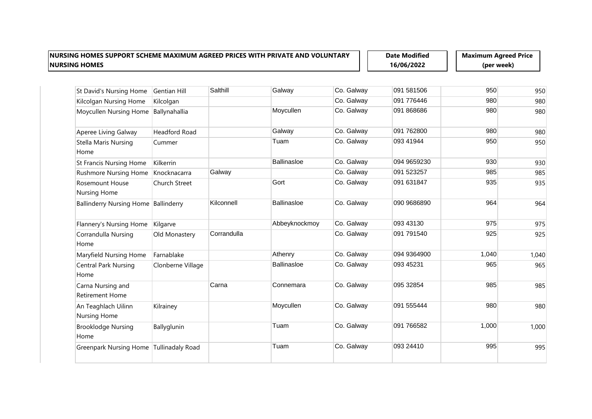**Date Modified 16/06/2022**

| St David's Nursing Home                     | <b>Gentian Hill</b>     | Salthill    | Galway             | Co. Galway | 091 581506  | 950   | 950   |
|---------------------------------------------|-------------------------|-------------|--------------------|------------|-------------|-------|-------|
| Kilcolgan Nursing Home                      | Kilcolgan               |             |                    | Co. Galway | 091 776446  | 980   | 980   |
| Moycullen Nursing Home                      | Ballynahallia           |             | Moycullen          | Co. Galway | 091 868686  | 980   | 980   |
| Aperee Living Galway                        | <b>Headford Road</b>    |             | Galway             | Co. Galway | 091 762800  | 980   | 980   |
| <b>Stella Maris Nursing</b><br>Home         | Cummer                  |             | Tuam               | Co. Galway | 093 41944   | 950   | 950   |
| <b>St Francis Nursing Home</b>              | Kilkerrin               |             | Ballinasloe        | Co. Galway | 094 9659230 | 930   | 930   |
| <b>Rushmore Nursing Home</b>                | Knocknacarra            | Galway      |                    | Co. Galway | 091 523257  | 985   | 985   |
| Rosemount House<br><b>Nursing Home</b>      | Church Street           |             | Gort               | Co. Galway | 091 631847  | 935   | 935   |
| Ballinderry Nursing Home Ballinderry        |                         | Kilconnell  | Ballinasloe        | Co. Galway | 090 9686890 | 964   | 964   |
| Flannery's Nursing Home                     | Kilgarve                |             | Abbeyknockmoy      | Co. Galway | 093 43130   | 975   | 975   |
| Corrandulla Nursing<br>Home                 | Old Monastery           | Corrandulla |                    | Co. Galway | 091 791540  | 925   | 925   |
| Maryfield Nursing Home                      | Farnablake              |             | Athenry            | Co. Galway | 094 9364900 | 1,040 | 1,040 |
| <b>Central Park Nursing</b><br>Home         | Clonberne Village       |             | <b>Ballinasloe</b> | Co. Galway | 093 45231   | 965   | 965   |
| Carna Nursing and<br><b>Retirement Home</b> |                         | Carna       | Connemara          | Co. Galway | 095 32854   | 985   | 985   |
| An Teaghlach Uilinn<br>Nursing Home         | Kilrainey               |             | Moycullen          | Co. Galway | 091 555444  | 980   | 980   |
| <b>Brooklodge Nursing</b><br>Home           | Ballyglunin             |             | Tuam               | Co. Galway | 091 766582  | 1,000 | 1,000 |
| <b>Greenpark Nursing Home</b>               | <b>Tullinadaly Road</b> |             | Tuam               | Co. Galway | 093 24410   | 995   | 995   |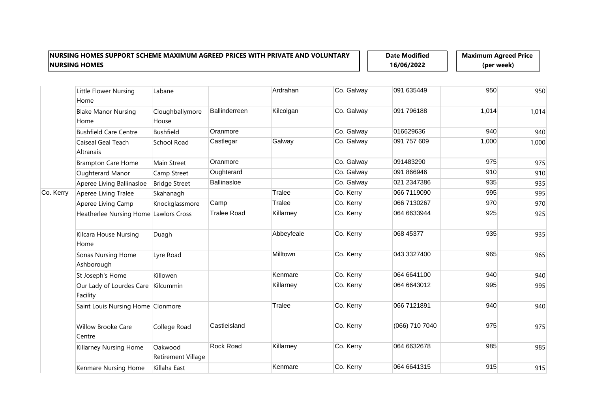**Date Modified 16/06/2022**

|           | Little Flower Nursing<br>Home         | Labane                        |                      | Ardrahan   | Co. Galway | 091 635449     | 950   | 950   |
|-----------|---------------------------------------|-------------------------------|----------------------|------------|------------|----------------|-------|-------|
|           | <b>Blake Manor Nursing</b><br>Home    | Cloughballymore<br>House      | <b>Ballinderreen</b> | Kilcolgan  | Co. Galway | 091 796188     | 1,014 | 1,014 |
|           | <b>Bushfield Care Centre</b>          | <b>Bushfield</b>              | Oranmore             |            | Co. Galway | 016629636      | 940   | 940   |
|           | Caiseal Geal Teach<br>Altranais       | School Road                   | Castlegar            | Galway     | Co. Galway | 091 757 609    | 1,000 | 1,000 |
|           | <b>Brampton Care Home</b>             | Main Street                   | Oranmore             |            | Co. Galway | 091483290      | 975   | 975   |
|           | Oughterard Manor                      | Camp Street                   | Oughterard           |            | Co. Galway | 091 866946     | 910   | 910   |
|           | Aperee Living Ballinasloe             | <b>Bridge Street</b>          | <b>Ballinasloe</b>   |            | Co. Galway | 021 2347386    | 935   | 935   |
| Co. Kerry | Aperee Living Tralee                  | Skahanagh                     |                      | Tralee     | Co. Kerry  | 066 7119090    | 995   | 995   |
|           | Aperee Living Camp                    | Knockglassmore                | Camp                 | Tralee     | Co. Kerry  | 066 7130267    | 970   | 970   |
|           | Heatherlee Nursing Home Lawlors Cross |                               | <b>Tralee Road</b>   | Killarney  | Co. Kerry  | 064 6633944    | 925   | 925   |
|           | Kilcara House Nursing<br>Home         | Duagh                         |                      | Abbeyfeale | Co. Kerry  | 068 45377      | 935   | 935   |
|           | Sonas Nursing Home<br>Ashborough      | Lyre Road                     |                      | Milltown   | Co. Kerry  | 043 3327400    | 965   | 965   |
|           | St Joseph's Home                      | Killowen                      |                      | Kenmare    | Co. Kerry  | 064 6641100    | 940   | 940   |
|           | Our Lady of Lourdes Care<br>Facility  | Kilcummin                     |                      | Killarney  | Co. Kerry  | 064 6643012    | 995   | 995   |
|           | Saint Louis Nursing Home Clonmore     |                               |                      | Tralee     | Co. Kerry  | 066 7121891    | 940   | 940   |
|           | <b>Willow Brooke Care</b><br>Centre   | College Road                  | Castleisland         |            | Co. Kerry  | (066) 710 7040 | 975   | 975   |
|           | Killarney Nursing Home                | Oakwood<br>Retirement Village | Rock Road            | Killarney  | Co. Kerry  | 064 6632678    | 985   | 985   |
|           | Kenmare Nursing Home                  | Killaha East                  |                      | Kenmare    | Co. Kerry  | 064 6641315    | 915   | 915   |
|           |                                       |                               |                      |            |            |                |       |       |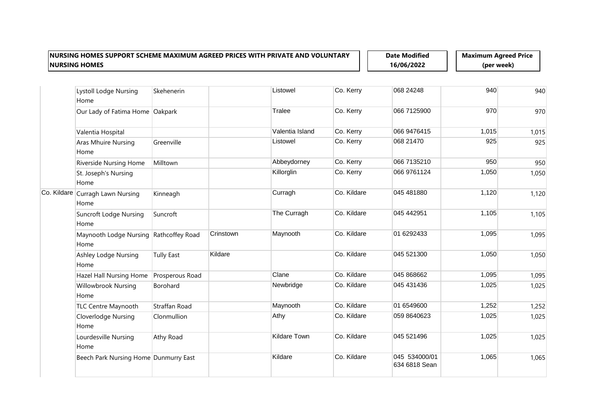**Date Modified 16/06/2022**

| <b>Lystoll Lodge Nursing</b><br>Home           | Skehenerin        |           | Listowel        | Co. Kerry   | 068 24248                      | 940   | 940   |
|------------------------------------------------|-------------------|-----------|-----------------|-------------|--------------------------------|-------|-------|
| Our Lady of Fatima Home Oakpark                |                   |           | Tralee          | Co. Kerry   | 066 7125900                    | 970   | 970   |
| Valentia Hospital                              |                   |           | Valentia Island | Co. Kerry   | 066 9476415                    | 1,015 | 1,015 |
| Aras Mhuire Nursing<br>Home                    | Greenville        |           | Listowel        | Co. Kerry   | 068 21470                      | 925   | 925   |
| Riverside Nursing Home                         | Milltown          |           | Abbeydorney     | Co. Kerry   | 066 7135210                    | 950   | 950   |
| St. Joseph's Nursing<br>Home                   |                   |           | Killorglin      | Co. Kerry   | 066 9761124                    | 1,050 | 1,050 |
| Co. Kildare Curragh Lawn Nursing<br>Home       | Kinneagh          |           | Curragh         | Co. Kildare | 045 481880                     | 1,120 | 1,120 |
| <b>Suncroft Lodge Nursing</b><br>Home          | Suncroft          |           | The Curragh     | Co. Kildare | 045 442951                     | 1,105 | 1,105 |
| Maynooth Lodge Nursing Rathcoffey Road<br>Home |                   | Crinstown | Maynooth        | Co. Kildare | 01 6292433                     | 1,095 | 1,095 |
| Ashley Lodge Nursing<br>Home                   | <b>Tully East</b> | Kildare   |                 | Co. Kildare | 045 521300                     | 1,050 | 1,050 |
| Hazel Hall Nursing Home                        | Prosperous Road   |           | Clane           | Co. Kildare | 045 868662                     | 1,095 | 1,095 |
| Willowbrook Nursing<br>Home                    | Borohard          |           | Newbridge       | Co. Kildare | 045 431 436                    | 1,025 | 1,025 |
| TLC Centre Maynooth                            | Straffan Road     |           | Maynooth        | Co. Kildare | 01 6549600                     | 1,252 | 1,252 |
| <b>Cloverlodge Nursing</b><br>Home             | Clonmullion       |           | Athy            | Co. Kildare | 059 8640623                    | 1,025 | 1,025 |
| Lourdesville Nursing<br>Home                   | Athy Road         |           | Kildare Town    | Co. Kildare | 045 521496                     | 1,025 | 1,025 |
| Beech Park Nursing Home Dunmurry East          |                   |           | Kildare         | Co. Kildare | 045 534000/01<br>634 6818 Sean | 1,065 | 1,065 |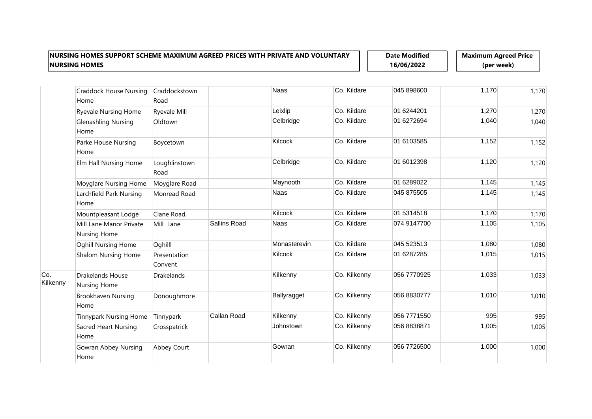**Date Modified 16/06/2022**

|                 | <b>Craddock House Nursing</b><br>Home   | Craddockstown<br>Road   |                     | Naas         | Co. Kildare  | 045 898600  | 1,170 | 1,170 |
|-----------------|-----------------------------------------|-------------------------|---------------------|--------------|--------------|-------------|-------|-------|
|                 | <b>Ryevale Nursing Home</b>             | <b>Ryevale Mill</b>     |                     | Leixlip      | Co. Kildare  | 01 6244201  | 1,270 | 1,270 |
|                 | <b>Glenashling Nursing</b><br>Home      | Oldtown                 |                     | Celbridge    | Co. Kildare  | 01 6272694  | 1,040 | 1,040 |
|                 | Parke House Nursing<br>Home             | Boycetown               |                     | Kilcock      | Co. Kildare  | 01 6103585  | 1,152 | 1,152 |
|                 | Elm Hall Nursing Home                   | Loughlinstown<br>Road   |                     | Celbridge    | Co. Kildare  | 01 6012398  | 1,120 | 1,120 |
|                 | Moyglare Nursing Home                   | Moyglare Road           |                     | Maynooth     | Co. Kildare  | 01 6289022  | 1,145 | 1,145 |
|                 | Larchfield Park Nursing<br>Home         | Monread Road            |                     | Naas         | Co. Kildare  | 045 875505  | 1,145 | 1,145 |
|                 | Mountpleasant Lodge                     | Clane Road,             |                     | Kilcock      | Co. Kildare  | 01 5314518  | 1,170 | 1,170 |
|                 | Mill Lane Manor Private<br>Nursing Home | Mill Lane               | <b>Sallins Road</b> | Naas         | Co. Kildare  | 074 9147700 | 1,105 | 1,105 |
|                 | <b>Oghill Nursing Home</b>              | Oghilll                 |                     | Monasterevin | Co. Kildare  | 045 523513  | 1,080 | 1,080 |
|                 | Shalom Nursing Home                     | Presentation<br>Convent |                     | Kilcock      | Co. Kildare  | 01 6287285  | 1,015 | 1,015 |
| Co.<br>Kilkenny | <b>Drakelands House</b><br>Nursing Home | <b>Drakelands</b>       |                     | Kilkenny     | Co. Kilkenny | 056 7770925 | 1,033 | 1,033 |
|                 | Brookhaven Nursing<br>Home              | Donoughmore             |                     | Ballyragget  | Co. Kilkenny | 056 8830777 | 1,010 | 1,010 |
|                 | <b>Tinnypark Nursing Home</b>           | Tinnypark               | Callan Road         | Kilkenny     | Co. Kilkenny | 056 7771550 | 995   | 995   |
|                 | Sacred Heart Nursing<br>Home            | Crosspatrick            |                     | Johnstown    | Co. Kilkenny | 056 8838871 | 1,005 | 1,005 |
|                 | Gowran Abbey Nursing<br>Home            | Abbey Court             |                     | Gowran       | Co. Kilkenny | 056 7726500 | 1,000 | 1,000 |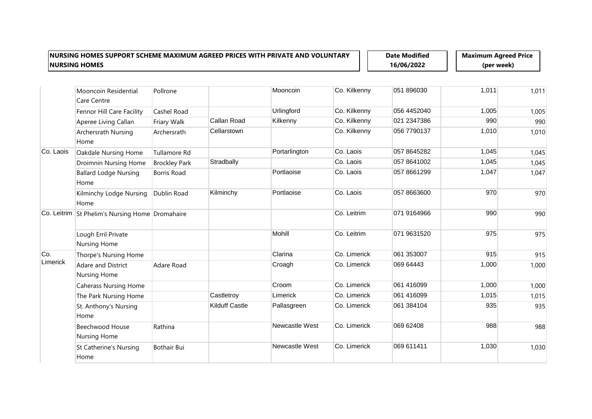**Date Modified 16/06/2022**

|           | Mooncoin Residential<br><b>Care Centre</b>      | Pollrone             |                       | Mooncoin       | Co. Kilkenny | 051 896030  | 1,011 | 1,011 |
|-----------|-------------------------------------------------|----------------------|-----------------------|----------------|--------------|-------------|-------|-------|
|           | Fennor Hill Care Facility                       | Cashel Road          |                       | Urlingford     | Co. Kilkenny | 056 4452040 | 1,005 | 1,005 |
|           | Aperee Living Callan                            | Friary Walk          | Callan Road           | Kilkenny       | Co. Kilkenny | 021 2347386 | 990   | 990   |
|           | Archersrath Nursing<br>Home                     | Archersrath          | Cellarstown           |                | Co. Kilkenny | 056 7790137 | 1,010 | 1,010 |
| Co. Laois | Oakdale Nursing Home                            | Tullamore Rd         |                       | Portarlington  | Co. Laois    | 057 8645282 | 1,045 | 1,045 |
|           | <b>Droimnin Nursing Home</b>                    | <b>Brockley Park</b> | Stradbally            |                | Co. Laois    | 057 8641002 | 1,045 | 1,045 |
|           | <b>Ballard Lodge Nursing</b><br>Home            | <b>Borris Road</b>   |                       | Portlaoise     | Co. Laois    | 057 8661299 | 1,047 | 1,047 |
|           | Kilminchy Lodge Nursing<br>Home                 | Dublin Road          | Kilminchy             | Portlaoise     | Co. Laois    | 057 8663600 | 970   | 970   |
|           | Co. Leitrim St Phelim's Nursing Home Dromahaire |                      |                       |                | Co. Leitrim  | 071 9164966 | 990   | 990   |
|           | Lough Erril Private<br><b>Nursing Home</b>      |                      |                       | Mohill         | Co. Leitrim  | 071 9631520 | 975   | 975   |
| Co.       | Thorpe's Nursing Home                           |                      |                       | Clarina        | Co. Limerick | 061 353007  | 915   | 915   |
| Limerick  | <b>Adare and District</b><br>Nursing Home       | Adare Road           |                       | Croagh         | Co. Limerick | 069 64443   | 1,000 | 1,000 |
|           | <b>Caherass Nursing Home</b>                    |                      |                       | Croom          | Co. Limerick | 061 416099  | 1,000 | 1,000 |
|           | The Park Nursing Home                           |                      | Castletroy            | Limerick       | Co. Limerick | 061 416099  | 1,015 | 1,015 |
|           | St. Anthony's Nursing<br>Home                   |                      | <b>Kilduff Castle</b> | Pallasgreen    | Co. Limerick | 061 384104  | 935   | 935   |
|           | <b>Beechwood House</b><br><b>Nursing Home</b>   | Rathina              |                       | Newcastle West | Co. Limerick | 069 62408   | 988   | 988   |
|           | <b>St Catherine's Nursing</b><br>Home           | <b>Bothair Bui</b>   |                       | Newcastle West | Co. Limerick | 069 611411  | 1,030 | 1,030 |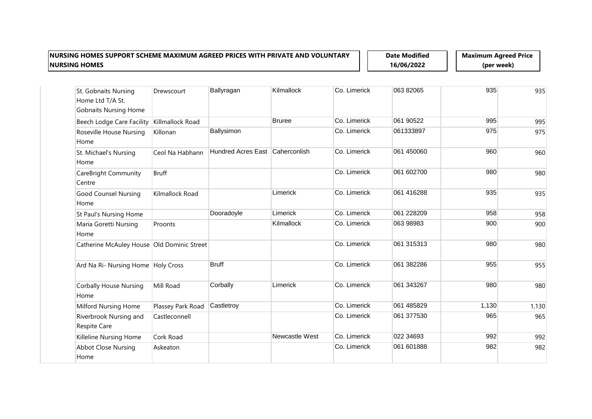**Date Modified 16/06/2022**

| St. Gobnaits Nursing<br>Home Ltd T/A St.<br><b>Gobnaits Nursing Home</b> | Drewscourt        | Ballyragan                      | Kilmallock     | Co. Limerick | 063 82065  | 935   | 935   |
|--------------------------------------------------------------------------|-------------------|---------------------------------|----------------|--------------|------------|-------|-------|
| Beech Lodge Care Facility                                                | Killmallock Road  |                                 | <b>Bruree</b>  | Co. Limerick | 061 90522  | 995   | 995   |
| Roseville House Nursing<br>Home                                          | Killonan          | Ballysimon                      |                | Co. Limerick | 061333897  | 975   | 975   |
| St. Michael's Nursing<br>Home                                            | Ceol Na Habhann   | Hundred Acres East Caherconlish |                | Co. Limerick | 061 450060 | 960   | 960   |
| CareBright Community<br>Centre                                           | <b>Bruff</b>      |                                 |                | Co. Limerick | 061 602700 | 980   | 980   |
| <b>Good Counsel Nursing</b><br>Home                                      | Kilmallock Road   |                                 | Limerick       | Co. Limerick | 061 416288 | 935   | 935   |
| St Paul's Nursing Home                                                   |                   | Dooradoyle                      | Limerick       | Co. Limerick | 061 228209 | 958   | 958   |
| Maria Goretti Nursing<br>Home                                            | Proonts           |                                 | Kilmallock     | Co. Limerick | 063 98983  | 900   | 900   |
| Catherine McAuley House Old Dominic Street                               |                   |                                 |                | Co. Limerick | 061 315313 | 980   | 980   |
| Ard Na Ri- Nursing Home Holy Cross                                       |                   | <b>Bruff</b>                    |                | Co. Limerick | 061 382286 | 955   | 955   |
| <b>Corbally House Nursing</b><br>Home                                    | Mill Road         | Corbally                        | Limerick       | Co. Limerick | 061 343267 | 980   | 980   |
| Milford Nursing Home                                                     | Plassey Park Road | Castletroy                      |                | Co. Limerick | 061 485829 | 1,130 | 1,130 |
| Riverbrook Nursing and<br>Respite Care                                   | Castleconnell     |                                 |                | Co. Limerick | 061 377530 | 965   | 965   |
| Killeline Nursing Home                                                   | Cork Road         |                                 | Newcastle West | Co. Limerick | 022 34693  | 992   | 992   |
| <b>Abbot Close Nursing</b><br>Home                                       | Askeaton          |                                 |                | Co. Limerick | 061 601888 | 982   | 982   |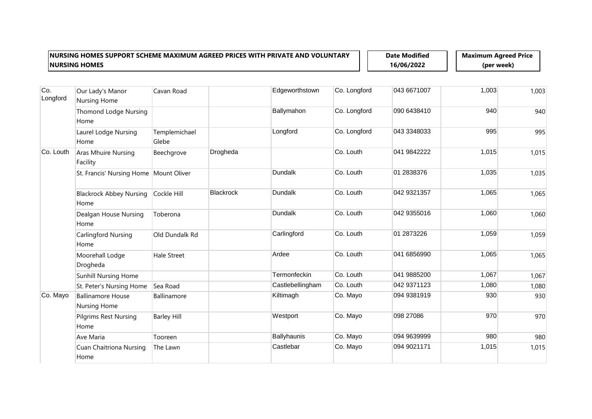**Date Modified 16/06/2022**

| Co.<br>Longford | Our Lady's Manor<br><b>Nursing Home</b>  | Cavan Road             |           | Edgeworthstown     | Co. Longford | 043 6671007 | 1,003 | 1,003 |
|-----------------|------------------------------------------|------------------------|-----------|--------------------|--------------|-------------|-------|-------|
|                 | <b>Thomond Lodge Nursing</b><br>Home     |                        |           | Ballymahon         | Co. Longford | 090 6438410 | 940   | 940   |
|                 | Laurel Lodge Nursing<br>Home             | Templemichael<br>Glebe |           | Longford           | Co. Longford | 043 3348033 | 995   | 995   |
| Co. Louth       | Aras Mhuire Nursing<br>Facility          | Beechgrove             | Drogheda  |                    | Co. Louth    | 041 9842222 | 1,015 | 1,015 |
|                 | St. Francis' Nursing Home   Mount Oliver |                        |           | Dundalk            | Co. Louth    | 01 2838376  | 1,035 | 1,035 |
|                 | <b>Blackrock Abbey Nursing</b><br>Home   | Cockle Hill            | Blackrock | Dundalk            | Co. Louth    | 042 9321357 | 1,065 | 1,065 |
|                 | Dealgan House Nursing<br>Home            | Toberona               |           | <b>Dundalk</b>     | Co. Louth    | 042 9355016 | 1,060 | 1,060 |
|                 | Carlingford Nursing<br>Home              | Old Dundalk Rd         |           | Carlingford        | Co. Louth    | 01 2873226  | 1,059 | 1,059 |
|                 | Moorehall Lodge<br>Drogheda              | <b>Hale Street</b>     |           | Ardee              | Co. Louth    | 041 6856990 | 1,065 | 1,065 |
|                 | <b>Sunhill Nursing Home</b>              |                        |           | Termonfeckin       | Co. Louth    | 041 9885200 | 1,067 | 1,067 |
|                 | St. Peter's Nursing Home                 | Sea Road               |           | Castlebellingham   | Co. Louth    | 042 9371123 | 1,080 | 1,080 |
| Co. Mayo        | <b>Ballinamore House</b><br>Nursing Home | Ballinamore            |           | Kiltimagh          | Co. Mayo     | 094 9381919 | 930   | 930   |
|                 | <b>Pilgrims Rest Nursing</b><br>Home     | <b>Barley Hill</b>     |           | Westport           | Co. Mayo     | 098 27086   | 970   | 970   |
|                 | Ave Maria                                | Tooreen                |           | <b>Ballyhaunis</b> | Co. Mayo     | 094 9639999 | 980   | 980   |
|                 | <b>Cuan Chaitriona Nursing</b><br>Home   | The Lawn               |           | Castlebar          | Co. Mayo     | 094 9021171 | 1,015 | 1,015 |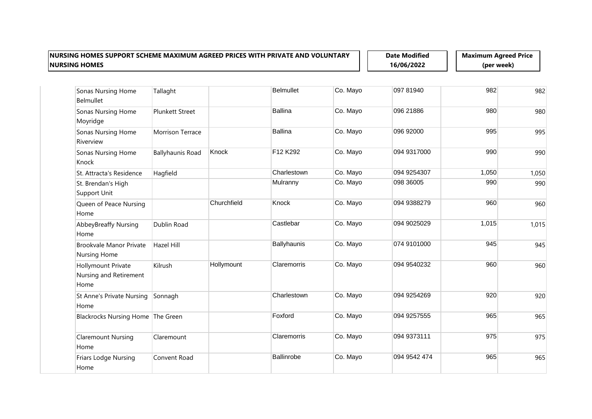**Date Modified 16/06/2022**

| <b>Sonas Nursing Home</b><br><b>Belmullet</b>               | Tallaght                |             | <b>Belmullet</b>   | Co. Mayo | 097 81940    | 982   | 982   |
|-------------------------------------------------------------|-------------------------|-------------|--------------------|----------|--------------|-------|-------|
| <b>Sonas Nursing Home</b><br>Moyridge                       | <b>Plunkett Street</b>  |             | Ballina            | Co. Mayo | 096 21886    | 980   | 980   |
| Sonas Nursing Home<br>Riverview                             | <b>Morrison Terrace</b> |             | <b>Ballina</b>     | Co. Mayo | 096 92000    | 995   | 995   |
| Sonas Nursing Home<br>Knock                                 | <b>Ballyhaunis Road</b> | Knock       | F12 K292           | Co. Mayo | 094 9317000  | 990   | 990   |
| St. Attracta's Residence                                    | Hagfield                |             | Charlestown        | Co. Mayo | 094 9254307  | 1,050 | 1,050 |
| St. Brendan's High<br>Support Unit                          |                         |             | Mulranny           | Co. Mayo | 098 36005    | 990   | 990   |
| Queen of Peace Nursing<br>Home                              |                         | Churchfield | Knock              | Co. Mayo | 094 9388279  | 960   | 960   |
| <b>AbbeyBreaffy Nursing</b><br>Home                         | Dublin Road             |             | Castlebar          | Co. Mayo | 094 9025029  | 1,015 | 1,015 |
| Brookvale Manor Private<br><b>Nursing Home</b>              | Hazel Hill              |             | <b>Ballyhaunis</b> | Co. Mayo | 074 9101000  | 945   | 945   |
| <b>Hollymount Private</b><br>Nursing and Retirement<br>Home | Kilrush                 | Hollymount  | Claremorris        | Co. Mayo | 094 9540232  | 960   | 960   |
| <b>St Anne's Private Nursing</b><br>Home                    | Sonnagh                 |             | Charlestown        | Co. Mayo | 094 9254269  | 920   | 920   |
| Blackrocks Nursing Home The Green                           |                         |             | Foxford            | Co. Mayo | 094 9257555  | 965   | 965   |
| <b>Claremount Nursing</b><br>Home                           | Claremount              |             | Claremorris        | Co. Mayo | 094 9373111  | 975   | 975   |
| Friars Lodge Nursing<br>Home                                | Convent Road            |             | Ballinrobe         | Co. Mayo | 094 9542 474 | 965   | 965   |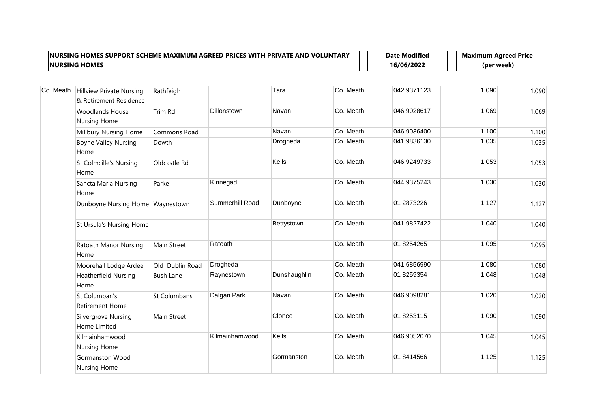**Date Modified 16/06/2022**

| Co. Meath | Hillview Private Nursing<br>& Retirement Residence | Rathfeigh        |                    | Tara         | Co. Meath | 042 9371123 | 1,090 | 1,090 |
|-----------|----------------------------------------------------|------------------|--------------------|--------------|-----------|-------------|-------|-------|
|           | <b>Woodlands House</b><br>Nursing Home             | Trim Rd          | <b>Dillonstown</b> | Navan        | Co. Meath | 046 9028617 | 1,069 | 1,069 |
|           | Millbury Nursing Home                              | Commons Road     |                    | Navan        | Co. Meath | 046 9036400 | 1,100 | 1,100 |
|           | <b>Boyne Valley Nursing</b><br>Home                | Dowth            |                    | Drogheda     | Co. Meath | 041 9836130 | 1,035 | 1,035 |
|           | <b>St Colmcille's Nursing</b><br>Home              | Oldcastle Rd     |                    | Kells        | Co. Meath | 046 9249733 | 1,053 | 1,053 |
|           | Sancta Maria Nursing<br>Home                       | Parke            | Kinnegad           |              | Co. Meath | 044 9375243 | 1,030 | 1,030 |
|           | Dunboyne Nursing Home Waynestown                   |                  | Summerhill Road    | Dunboyne     | Co. Meath | 01 2873226  | 1,127 | 1,127 |
|           | St Ursula's Nursing Home                           |                  |                    | Bettystown   | Co. Meath | 041 9827422 | 1,040 | 1,040 |
|           | Ratoath Manor Nursing<br>Home                      | Main Street      | Ratoath            |              | Co. Meath | 01 8254265  | 1,095 | 1,095 |
|           | Moorehall Lodge Ardee                              | Old Dublin Road  | Drogheda           |              | Co. Meath | 041 6856990 | 1,080 | 1,080 |
|           | <b>Heatherfield Nursing</b><br>Home                | <b>Bush Lane</b> | Raynestown         | Dunshaughlin | Co. Meath | 01 8259354  | 1,048 | 1,048 |
|           | St Columban's<br><b>Retirement Home</b>            | St Columbans     | Dalgan Park        | Navan        | Co. Meath | 046 9098281 | 1,020 | 1,020 |
|           | Silvergrove Nursing<br>Home Limited                | Main Street      |                    | Clonee       | Co. Meath | 01 8253115  | 1,090 | 1,090 |
|           | Kilmainhamwood<br>Nursing Home                     |                  | Kilmainhamwood     | Kells        | Co. Meath | 046 9052070 | 1,045 | 1,045 |
|           | Gormanston Wood<br>Nursing Home                    |                  |                    | Gormanston   | Co. Meath | 01 8414566  | 1,125 | 1,125 |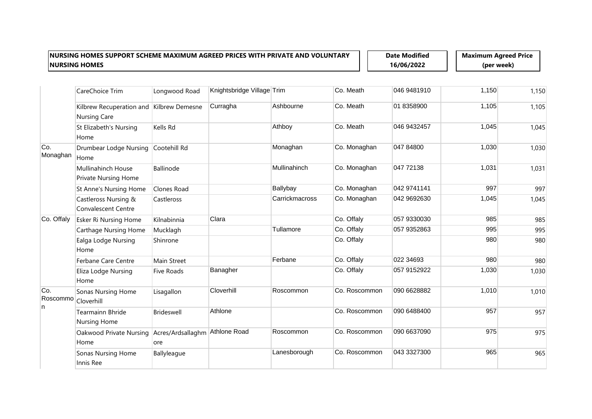**Date Modified 16/06/2022**

|                 | CareChoice Trim                                                 | Longwood Road                         | Knightsbridge Village Trim |                | Co. Meath     | 046 9481910 | 1,150 | 1,150 |
|-----------------|-----------------------------------------------------------------|---------------------------------------|----------------------------|----------------|---------------|-------------|-------|-------|
|                 | Kilbrew Recuperation and Kilbrew Demesne<br><b>Nursing Care</b> |                                       | Curragha                   | Ashbourne      | Co. Meath     | 01 8358900  | 1,105 | 1,105 |
|                 | St Elizabeth's Nursing<br>Home                                  | Kells Rd                              |                            | Athboy         | Co. Meath     | 046 9432457 | 1,045 | 1,045 |
| Co.<br>Monaghan | Drumbear Lodge Nursing<br>Home                                  | Cootehill Rd                          |                            | Monaghan       | Co. Monaghan  | 047 84800   | 1,030 | 1,030 |
|                 | Mullinahinch House<br>Private Nursing Home                      | Ballinode                             |                            | Mullinahinch   | Co. Monaghan  | 047 72138   | 1,031 | 1,031 |
|                 | St Anne's Nursing Home                                          | Clones Road                           |                            | Ballybay       | Co. Monaghan  | 042 9741141 | 997   | 997   |
|                 | Castleross Nursing &<br><b>Convalescent Centre</b>              | Castleross                            |                            | Carrickmacross | Co. Monaghan  | 042 9692630 | 1,045 | 1,045 |
| Co. Offaly      | Esker Ri Nursing Home                                           | Kilnabinnia                           | Clara                      |                | Co. Offaly    | 057 9330030 | 985   | 985   |
|                 | <b>Carthage Nursing Home</b>                                    | Mucklagh                              |                            | Tullamore      | Co. Offaly    | 057 9352863 | 995   | 995   |
|                 | Ealga Lodge Nursing<br>Home                                     | Shinrone                              |                            |                | Co. Offaly    |             | 980   | 980   |
|                 | Ferbane Care Centre                                             | Main Street                           |                            | Ferbane        | Co. Offaly    | 022 34693   | 980   | 980   |
|                 | Eliza Lodge Nursing<br>Home                                     | <b>Five Roads</b>                     | Banagher                   |                | Co. Offaly    | 057 9152922 | 1,030 | 1,030 |
| Co.<br>Roscommo | Sonas Nursing Home<br>Cloverhill                                | Lisagallon                            | Cloverhill                 | Roscommon      | Co. Roscommon | 090 6628882 | 1,010 | 1,010 |
| n               | <b>Tearmainn Bhride</b><br>Nursing Home                         | <b>Brideswell</b>                     | Athlone                    |                | Co. Roscommon | 090 6488400 | 957   | 957   |
|                 | Oakwood Private Nursing<br>Home                                 | Acres/Ardsallaghm Athlone Road<br>ore |                            | Roscommon      | Co. Roscommon | 090 6637090 | 975   | 975   |
|                 | Sonas Nursing Home<br>Innis Ree                                 | Ballyleague                           |                            | Lanesborough   | Co. Roscommon | 043 3327300 | 965   | 965   |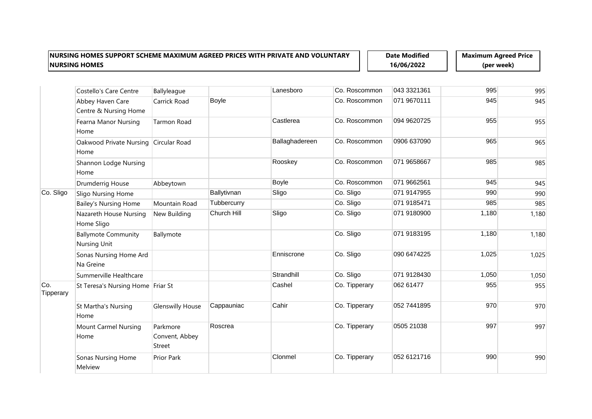**Date Modified 16/06/2022**

|                  | Costello's Care Centre                        | Ballyleague                          |             | Lanesboro      | Co. Roscommon | 043 3321361 | 995   | 995   |
|------------------|-----------------------------------------------|--------------------------------------|-------------|----------------|---------------|-------------|-------|-------|
|                  | Abbey Haven Care<br>Centre & Nursing Home     | Carrick Road                         | Boyle       |                | Co. Roscommon | 071 9670111 | 945   | 945   |
|                  | Fearna Manor Nursing<br>Home                  | Tarmon Road                          |             | Castlerea      | Co. Roscommon | 094 9620725 | 955   | 955   |
|                  | Oakwood Private Nursing Circular Road<br>Home |                                      |             | Ballaghadereen | Co. Roscommon | 0906 637090 | 965   | 965   |
|                  | Shannon Lodge Nursing<br>Home                 |                                      |             | Rooskey        | Co. Roscommon | 071 9658667 | 985   | 985   |
|                  | Drumderrig House                              | Abbeytown                            |             | Boyle          | Co. Roscommon | 071 9662561 | 945   | 945   |
| Co. Sligo        | Sligo Nursing Home                            |                                      | Ballytivnan | Sligo          | Co. Sligo     | 071 9147955 | 990   | 990   |
|                  | <b>Bailey's Nursing Home</b>                  | Mountain Road                        | Tubbercurry |                | Co. Sligo     | 071 9185471 | 985   | 985   |
|                  | Nazareth House Nursing<br>Home Sligo          | New Building                         | Church Hill | Sligo          | Co. Sligo     | 071 9180900 | 1,180 | 1,180 |
|                  | <b>Ballymote Community</b><br>Nursing Unit    | Ballymote                            |             |                | Co. Sligo     | 071 9183195 | 1,180 | 1,180 |
|                  | Sonas Nursing Home Ard<br>Na Greine           |                                      |             | Enniscrone     | Co. Sligo     | 090 6474225 | 1,025 | 1,025 |
|                  | Summerville Healthcare                        |                                      |             | Strandhill     | Co. Sligo     | 071 9128430 | 1,050 | 1,050 |
| Co.<br>Tipperary | St Teresa's Nursing Home Friar St             |                                      |             | Cashel         | Co. Tipperary | 062 61477   | 955   | 955   |
|                  | St Martha's Nursing<br>Home                   | <b>Glenswilly House</b>              | Cappauniac  | Cahir          | Co. Tipperary | 052 7441895 | 970   | 970   |
|                  | <b>Mount Carmel Nursing</b><br>Home           | Parkmore<br>Convent, Abbey<br>Street | Roscrea     |                | Co. Tipperary | 0505 21038  | 997   | 997   |
|                  | Sonas Nursing Home<br>Melview                 | Prior Park                           |             | Clonmel        | Co. Tipperary | 052 6121716 | 990   | 990   |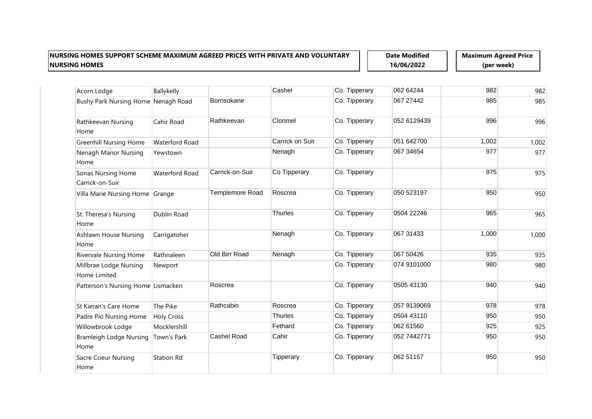**Date Modified 16/06/2022**

| Acorn Lodge                            | Ballykelly            |                 | Cashel          | Co. Tipperary | 062 64244   | 982   | 982   |
|----------------------------------------|-----------------------|-----------------|-----------------|---------------|-------------|-------|-------|
| Bushy Park Nursing Home Nenagh Road    |                       | Borrisokane     |                 | Co. Tipperary | 067 27442   | 985   | 985   |
| Rathkeevan Nursing<br>Home             | Cahir Road            | Rathkeevan      | Clonmel         | Co. Tipperary | 052 6129439 | 996   | 996   |
| <b>Greenhill Nursing Home</b>          | <b>Waterford Road</b> |                 | Carrick on Suir | Co. Tipperary | 051 642700  | 1,002 | 1,002 |
| Nenagh Manor Nursing<br>Home           | Yewstown              |                 | Nenagh          | Co. Tipperary | 067 34654   | 977   | 977   |
| Sonas Nursing Home<br>Carrick-on-Suir  | <b>Waterford Road</b> | Carrick-on-Suir | Co Tipperary    | Co. Tipperary |             | 975   | 975   |
| Villa Marie Nursing Home Grange        |                       | Templemore Road | Roscrea         | Co. Tipperary | 050 523197  | 950   | 950   |
| St. Theresa's Nursing<br>Home          | Dublin Road           |                 | <b>Thurles</b>  | Co. Tipperary | 0504 22246  | 965   | 965   |
| <b>Ashlawn House Nursing</b><br>Home   | Carrigatoher          |                 | Nenagh          | Co. Tipperary | 067 31433   | 1,000 | 1,000 |
| <b>Rivervale Nursing Home</b>          | Rathnaleen            | Old Birr Road   | Nenagh          | Co. Tipperary | 067 50426   | 935   | 935   |
| Millbrae Lodge Nursing<br>Home Limited | Newport               |                 |                 | Co. Tipperary | 074 9101000 | 980   | 980   |
| Patterson's Nursing Home Lismacken     |                       | Roscrea         |                 | Co. Tipperary | 0505 43130  | 940   | 940   |
| St Kieran's Care Home                  | The Pike              | Rathcabin       | Roscrea         | Co. Tipperary | 057 9139069 | 978   | 978   |
| Padre Pio Nursing Home                 | <b>Holy Cross</b>     |                 | <b>Thurles</b>  | Co. Tipperary | 0504 43110  | 950   | 950   |
| Willowbrook Lodge                      | Mocklershill          |                 | Fethard         | Co. Tipperary | 062 61560   | 925   | 925   |
| <b>Bramleigh Lodge Nursing</b><br>Home | Town's Park           | Cashel Road     | Cahir           | Co. Tipperary | 052 7442771 | 950   | 950   |
| <b>Sacre Coeur Nursing</b><br>Home     | <b>Station Rd</b>     |                 | Tipperary       | Co. Tipperary | 062 51157   | 950   | 950   |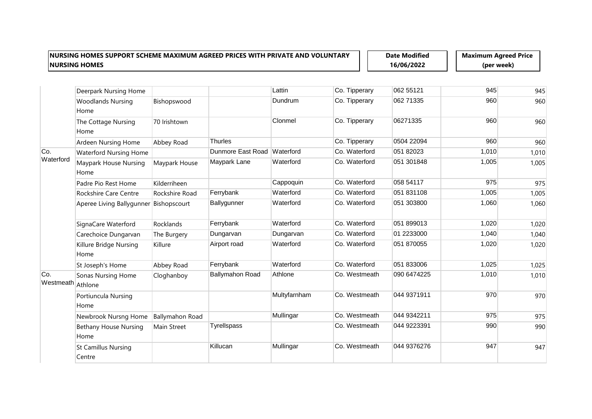**Date Modified 16/06/2022**

|                  | Deerpark Nursing Home                |                        |                             | Lattin       | Co. Tipperary | 062 55121   | 945   | 945   |
|------------------|--------------------------------------|------------------------|-----------------------------|--------------|---------------|-------------|-------|-------|
|                  | <b>Woodlands Nursing</b><br>Home     | Bishopswood            |                             | Dundrum      | Co. Tipperary | 062 71335   | 960   | 960   |
|                  | The Cottage Nursing<br>Home          | 70 Irishtown           |                             | Clonmel      | Co. Tipperary | 06271335    | 960   | 960   |
|                  | Ardeen Nursing Home                  | Abbey Road             | <b>Thurles</b>              |              | Co. Tipperary | 0504 22094  | 960   | 960   |
| Co.              | Waterford Nursing Home               |                        | Dunmore East Road Waterford |              | Co. Waterford | 051 82023   | 1,010 | 1,010 |
| Waterford        | Maypark House Nursing<br>Home        | Maypark House          | Maypark Lane                | Waterford    | Co. Waterford | 051 301848  | 1,005 | 1,005 |
|                  | Padre Pio Rest Home                  | Kilderriheen           |                             | Cappoquin    | Co. Waterford | 058 54117   | 975   | 975   |
|                  | Rockshire Care Centre                | Rockshire Road         | Ferrybank                   | Waterford    | Co. Waterford | 051 831108  | 1,005 | 1,005 |
|                  | Aperee Living Ballygunner            | Bishopscourt           | Ballygunner                 | Waterford    | Co. Waterford | 051 303800  | 1,060 | 1,060 |
|                  | SignaCare Waterford                  | Rocklands              | Ferrybank                   | Waterford    | Co. Waterford | 051 899013  | 1,020 | 1,020 |
|                  | Carechoice Dungarvan                 | The Burgery            | Dungarvan                   | Dungarvan    | Co. Waterford | 01 2233000  | 1,040 | 1,040 |
|                  | Killure Bridge Nursing<br>Home       | Killure                | Airport road                | Waterford    | Co. Waterford | 051 870055  | 1,020 | 1,020 |
|                  | St Joseph's Home                     | Abbey Road             | Ferrybank                   | Waterford    | Co. Waterford | 051 833006  | 1,025 | 1,025 |
| Co.<br>Westmeath | Sonas Nursing Home<br>Athlone        | Cloghanboy             | <b>Ballymahon Road</b>      | Athlone      | Co. Westmeath | 090 6474225 | 1,010 | 1,010 |
|                  | Portiuncula Nursing<br>Home          |                        |                             | Multyfarnham | Co. Westmeath | 044 9371911 | 970   | 970   |
|                  | Newbrook Nursng Home                 | <b>Ballymahon Road</b> |                             | Mullingar    | Co. Westmeath | 044 9342211 | 975   | 975   |
|                  | <b>Bethany House Nursing</b><br>Home | Main Street            | <b>Tyrellspass</b>          |              | Co. Westmeath | 044 9223391 | 990   | 990   |
|                  | <b>St Camillus Nursing</b><br>Centre |                        | Killucan                    | Mullingar    | Co. Westmeath | 044 9376276 | 947   | 947   |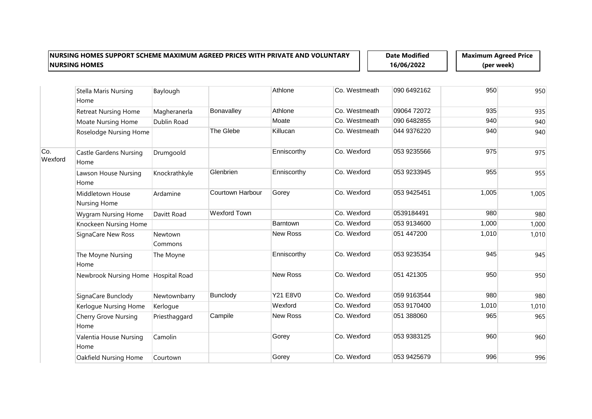**Date Modified 16/06/2022**

|                | Stella Maris Nursing<br>Home          | Baylough           |                         | Athlone         | Co. Westmeath | 090 6492162 | 950   | 950   |
|----------------|---------------------------------------|--------------------|-------------------------|-----------------|---------------|-------------|-------|-------|
|                | <b>Retreat Nursing Home</b>           | Magheranerla       | Bonavalley              | Athlone         | Co. Westmeath | 09064 72072 | 935   | 935   |
|                | Moate Nursing Home                    | Dublin Road        |                         | Moate           | Co. Westmeath | 090 6482855 | 940   | 940   |
|                | Roselodge Nursing Home                |                    | The Glebe               | Killucan        | Co. Westmeath | 044 9376220 | 940   | 940   |
| Co.<br>Wexford | <b>Castle Gardens Nursing</b><br>Home | Drumgoold          |                         | Enniscorthy     | Co. Wexford   | 053 9235566 | 975   | 975   |
|                | Lawson House Nursing<br>Home          | Knockrathkyle      | Glenbrien               | Enniscorthy     | Co. Wexford   | 053 9233945 | 955   | 955   |
|                | Middletown House<br>Nursing Home      | Ardamine           | <b>Courtown Harbour</b> | Gorey           | Co. Wexford   | 053 9425451 | 1,005 | 1,005 |
|                | <b>Wygram Nursing Home</b>            | Davitt Road        | <b>Wexford Town</b>     |                 | Co. Wexford   | 0539184491  | 980   | 980   |
|                | Knockeen Nursing Home                 |                    |                         | Barntown        | Co. Wexford   | 053 9134600 | 1,000 | 1,000 |
|                | SignaCare New Ross                    | Newtown<br>Commons |                         | <b>New Ross</b> | Co. Wexford   | 051 447200  | 1,010 | 1,010 |
|                | The Moyne Nursing<br>Home             | The Moyne          |                         | Enniscorthy     | Co. Wexford   | 053 9235354 | 945   | 945   |
|                | Newbrook Nursing Home Hospital Road   |                    |                         | <b>New Ross</b> | Co. Wexford   | 051 421305  | 950   | 950   |
|                | SignaCare Bunclody                    | Newtownbarry       | <b>Bunclody</b>         | <b>Y21 E8V0</b> | Co. Wexford   | 059 9163544 | 980   | 980   |
|                | Kerlogue Nursing Home                 | Kerlogue           |                         | Wexford         | Co. Wexford   | 053 9170400 | 1,010 | 1,010 |
|                | Cherry Grove Nursing<br>Home          | Priesthaggard      | Campile                 | <b>New Ross</b> | Co. Wexford   | 051 388060  | 965   | 965   |
|                | Valentia House Nursing<br>Home        | Camolin            |                         | Gorey           | Co. Wexford   | 053 9383125 | 960   | 960   |
|                | Oakfield Nursing Home                 | Courtown           |                         | Gorey           | Co. Wexford   | 053 9425679 | 996   | 996   |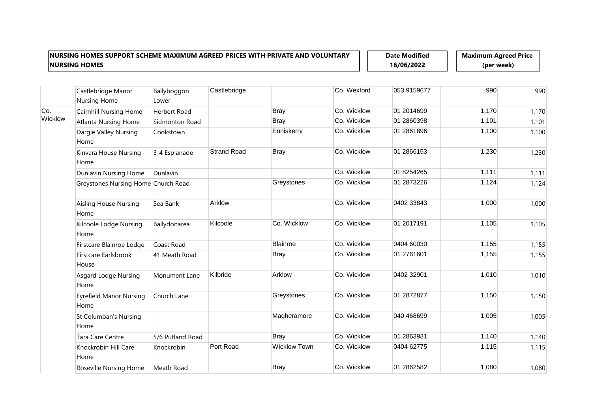**Date Modified 16/06/2022**

| Castlebridge Manor<br>Nursing Home     | Ballyboggon<br>Lower | Castlebridge                        |                     | Co. Wexford | 053 9159677 | 990   | 990   |
|----------------------------------------|----------------------|-------------------------------------|---------------------|-------------|-------------|-------|-------|
| <b>Cairnhill Nursing Home</b>          | Herbert Road         |                                     | <b>Bray</b>         | Co. Wicklow | 01 2014699  | 1,170 | 1,170 |
| <b>Atlanta Nursing Home</b>            | Sidmonton Road       |                                     | <b>Bray</b>         | Co. Wicklow | 01 2860398  | 1,101 | 1,101 |
| Dargle Valley Nursing<br>Home          | Cookstown            |                                     | Enniskerry          | Co. Wicklow | 01 2861896  | 1,100 | 1,100 |
| Kinvara House Nursing<br>Home          | 3-4 Esplanade        | <b>Strand Road</b>                  | <b>Bray</b>         | Co. Wicklow | 01 2866153  | 1,230 | 1,230 |
| Dunlavin Nursing Home                  | Dunlavin             |                                     |                     | Co. Wicklow | 01 8254265  | 1,111 | 1,111 |
|                                        |                      |                                     | Greystones          | Co. Wicklow | 01 2873226  | 1,124 | 1,124 |
| <b>Aisling House Nursing</b><br>Home   | Sea Bank             | Arklow                              |                     | Co. Wicklow | 0402 33843  | 1,000 | 1,000 |
| Kilcoole Lodge Nursing<br>Home         | Ballydonarea         | Kilcoole                            | Co. Wicklow         | Co. Wicklow | 01 2017191  | 1,105 | 1,105 |
| Firstcare Blainroe Lodge               | Coast Road           |                                     | <b>Blainroe</b>     | Co. Wicklow | 0404 60030  | 1,155 | 1,155 |
| Firstcare Earlsbrook<br>House          | 41 Meath Road        |                                     | <b>Bray</b>         | Co. Wicklow | 01 2761601  | 1,155 | 1,155 |
| <b>Asgard Lodge Nursing</b><br>Home    | Monument Lane        | Kilbride                            | Arklow              | Co. Wicklow | 0402 32901  | 1,010 | 1,010 |
| <b>Eyrefield Manor Nursing</b><br>Home | Church Lane          |                                     | Greystones          | Co. Wicklow | 01 2872877  | 1,150 | 1,150 |
| St Columban's Nursing<br>Home          |                      |                                     | Magheramore         | Co. Wicklow | 040 468699  | 1,005 | 1,005 |
| Tara Care Centre                       | 5/6 Putland Road     |                                     | <b>Bray</b>         | Co. Wicklow | 01 2863931  | 1,140 | 1,140 |
| Knockrobin Hill Care<br>Home           | Knockrobin           | Port Road                           | <b>Wicklow Town</b> | Co. Wicklow | 0404 62775  | 1,115 | 1,115 |
| Roseville Nursing Home                 | Meath Road           |                                     | <b>Bray</b>         | Co. Wicklow | 01 2862582  | 1,080 | 1,080 |
|                                        |                      | Greystones Nursing Home Church Road |                     |             |             |       |       |